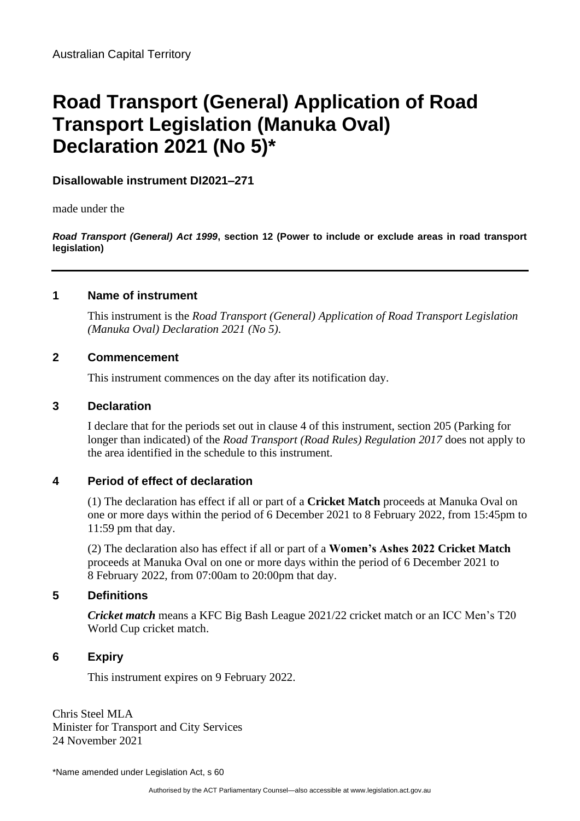# **Road Transport (General) Application of Road Transport Legislation (Manuka Oval) Declaration 2021 (No 5)\***

**Disallowable instrument DI2021–271**

made under the

*Road Transport (General) Act 1999***, section 12 (Power to include or exclude areas in road transport legislation)** 

# **1 Name of instrument**

This instrument is the *Road Transport (General) Application of Road Transport Legislation (Manuka Oval) Declaration 2021 (No 5)*.

## **2 Commencement**

This instrument commences on the day after its notification day.

#### **3 Declaration**

I declare that for the periods set out in clause 4 of this instrument, section 205 (Parking for longer than indicated) of the *Road Transport (Road Rules) Regulation 2017* does not apply to the area identified in the schedule to this instrument.

# **4 Period of effect of declaration**

(1) The declaration has effect if all or part of a **Cricket Match** proceeds at Manuka Oval on one or more days within the period of 6 December 2021 to 8 February 2022, from 15:45pm to 11:59 pm that day.

(2) The declaration also has effect if all or part of a **Women's Ashes 2022 Cricket Match** proceeds at Manuka Oval on one or more days within the period of 6 December 2021 to 8 February 2022, from 07:00am to 20:00pm that day.

# **5 Definitions**

*Cricket match* means a KFC Big Bash League 2021/22 cricket match or an ICC Men's T20 World Cup cricket match.

# **6 Expiry**

This instrument expires on 9 February 2022.

Chris Steel MLA Minister for Transport and City Services 24 November 2021

\*Name amended under Legislation Act, s 60